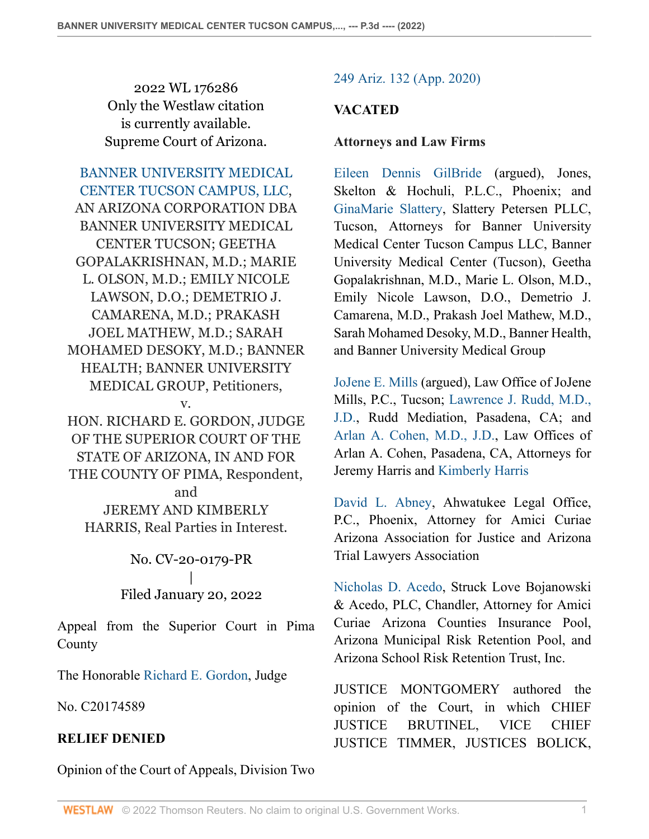2022 WL 176286 Only the Westlaw citation is currently available. Supreme Court of Arizona.

[BANNER UNIVERSITY MEDICAL](http://www.westlaw.com/Search/Results.html?query=advanced%3a+WCAID(IE0D61A10F03911E8B62A9931EC3CD368)&saveJuris=False&contentType=BUSINESS-INVESTIGATOR&startIndex=1&contextData=(sc.Default)&categoryPageUrl=Home%2fCompanyInvestigator&originationContext=document&vr=3.0&rs=cblt1.0&transitionType=DocumentItem) [CENTER TUCSON CAMPUS, LLC](http://www.westlaw.com/Search/Results.html?query=advanced%3a+WCAID(IE0D61A10F03911E8B62A9931EC3CD368)&saveJuris=False&contentType=BUSINESS-INVESTIGATOR&startIndex=1&contextData=(sc.Default)&categoryPageUrl=Home%2fCompanyInvestigator&originationContext=document&vr=3.0&rs=cblt1.0&transitionType=DocumentItem), AN ARIZONA CORPORATION DBA BANNER UNIVERSITY MEDICAL CENTER TUCSON; GEETHA GOPALAKRISHNAN, M.D.; MARIE L. OLSON, M.D.; EMILY NICOLE LAWSON, D.O.; DEMETRIO J. CAMARENA, M.D.; PRAKASH JOEL MATHEW, M.D.; SARAH MOHAMED DESOKY, M.D.; BANNER HEALTH; BANNER UNIVERSITY MEDICAL GROUP, Petitioners, v.

HON. RICHARD E. GORDON, JUDGE OF THE SUPERIOR COURT OF THE STATE OF ARIZONA, IN AND FOR THE COUNTY OF PIMA, Respondent, and

JEREMY AND KIMBERLY HARRIS, Real Parties in Interest.

> No. CV-20-0179-PR | Filed January 20, 2022

Appeal from the Superior Court in Pima County

The Honorable [Richard E. Gordon](http://www.westlaw.com/Link/Document/FullText?findType=h&pubNum=176284&cite=0213145801&originatingDoc=Id2d129507a2e11ec8482c694aa3b3022&refType=RQ&originationContext=document&vr=3.0&rs=cblt1.0&transitionType=DocumentItem&contextData=(sc.Search)), Judge

No. C20174589

## **RELIEF DENIED**

Opinion of the Court of Appeals, Division Two

## [249 Ariz. 132 \(App. 2020\)](http://www.westlaw.com/Link/Document/FullText?findType=Y&serNum=2051153658&pubNum=0000156&originatingDoc=Id2d129507a2e11ec8482c694aa3b3022&refType=RP&originationContext=document&vr=3.0&rs=cblt1.0&transitionType=DocumentItem&contextData=(sc.Search))

# **VACATED**

### **Attorneys and Law Firms**

[Eileen Dennis GilBride](http://www.westlaw.com/Link/Document/FullText?findType=h&pubNum=176284&cite=0169122901&originatingDoc=Id2d129507a2e11ec8482c694aa3b3022&refType=RQ&originationContext=document&vr=3.0&rs=cblt1.0&transitionType=DocumentItem&contextData=(sc.Search)) (argued), Jones, Skelton & Hochuli, P.L.C., Phoenix; and [GinaMarie Slattery,](http://www.westlaw.com/Link/Document/FullText?findType=h&pubNum=176284&cite=0322581301&originatingDoc=Id2d129507a2e11ec8482c694aa3b3022&refType=RQ&originationContext=document&vr=3.0&rs=cblt1.0&transitionType=DocumentItem&contextData=(sc.Search)) Slattery Petersen PLLC, Tucson, Attorneys for Banner University Medical Center Tucson Campus LLC, Banner University Medical Center (Tucson), Geetha Gopalakrishnan, M.D., Marie L. Olson, M.D., Emily Nicole Lawson, D.O., Demetrio J. Camarena, M.D., Prakash Joel Mathew, M.D., Sarah Mohamed Desoky, M.D., Banner Health, and Banner University Medical Group

[JoJene E. Mills](http://www.westlaw.com/Link/Document/FullText?findType=h&pubNum=176284&cite=0340257801&originatingDoc=Id2d129507a2e11ec8482c694aa3b3022&refType=RQ&originationContext=document&vr=3.0&rs=cblt1.0&transitionType=DocumentItem&contextData=(sc.Search)) (argued), Law Office of JoJene Mills, P.C., Tucson; [Lawrence J. Rudd, M.D.,](http://www.westlaw.com/Link/Document/FullText?findType=h&pubNum=176284&cite=0232497101&originatingDoc=Id2d129507a2e11ec8482c694aa3b3022&refType=RQ&originationContext=document&vr=3.0&rs=cblt1.0&transitionType=DocumentItem&contextData=(sc.Search)) [J.D.,](http://www.westlaw.com/Link/Document/FullText?findType=h&pubNum=176284&cite=0232497101&originatingDoc=Id2d129507a2e11ec8482c694aa3b3022&refType=RQ&originationContext=document&vr=3.0&rs=cblt1.0&transitionType=DocumentItem&contextData=(sc.Search)) Rudd Mediation, Pasadena, CA; and [Arlan A. Cohen, M.D., J.D.](http://www.westlaw.com/Link/Document/FullText?findType=h&pubNum=176284&cite=0275863201&originatingDoc=Id2d129507a2e11ec8482c694aa3b3022&refType=RQ&originationContext=document&vr=3.0&rs=cblt1.0&transitionType=DocumentItem&contextData=(sc.Search)), Law Offices of Arlan A. Cohen, Pasadena, CA, Attorneys for Jeremy Harris and [Kimberly Harris](http://www.westlaw.com/Link/Document/FullText?findType=h&pubNum=176284&cite=0370084901&originatingDoc=Id2d129507a2e11ec8482c694aa3b3022&refType=RQ&originationContext=document&vr=3.0&rs=cblt1.0&transitionType=DocumentItem&contextData=(sc.Search))

[David L. Abney](http://www.westlaw.com/Link/Document/FullText?findType=h&pubNum=176284&cite=0217516801&originatingDoc=Id2d129507a2e11ec8482c694aa3b3022&refType=RQ&originationContext=document&vr=3.0&rs=cblt1.0&transitionType=DocumentItem&contextData=(sc.Search)), Ahwatukee Legal Office, P.C., Phoenix, Attorney for Amici Curiae Arizona Association for Justice and Arizona Trial Lawyers Association

[Nicholas D. Acedo](http://www.westlaw.com/Link/Document/FullText?findType=h&pubNum=176284&cite=0333665101&originatingDoc=Id2d129507a2e11ec8482c694aa3b3022&refType=RQ&originationContext=document&vr=3.0&rs=cblt1.0&transitionType=DocumentItem&contextData=(sc.Search)), Struck Love Bojanowski & Acedo, PLC, Chandler, Attorney for Amici Curiae Arizona Counties Insurance Pool, Arizona Municipal Risk Retention Pool, and Arizona School Risk Retention Trust, Inc.

JUSTICE MONTGOMERY authored the opinion of the Court, in which CHIEF JUSTICE BRUTINEL, VICE CHIEF JUSTICE TIMMER, JUSTICES BOLICK,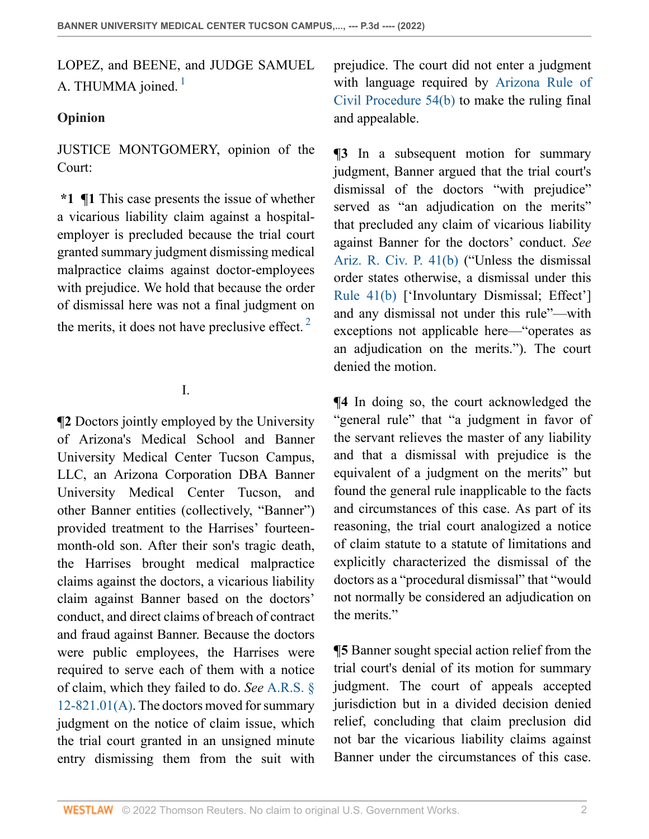<span id="page-1-0"></span>LOPEZ, and BEENE, and JUDGE SAMUEL A. THUMMA joined. $<sup>1</sup>$  $<sup>1</sup>$  $<sup>1</sup>$ </sup>

## **Opinion**

JUSTICE MONTGOMERY, opinion of the Court:

**\*1 ¶1** This case presents the issue of whether a vicarious liability claim against a hospitalemployer is precluded because the trial court granted summary judgment dismissing medical malpractice claims against doctor-employees with prejudice. We hold that because the order of dismissal here was not a final judgment on the merits, it does not have preclusive effect.  $2^{\circ}$  $2^{\circ}$ 

# I.

**¶2** Doctors jointly employed by the University of Arizona's Medical School and Banner University Medical Center Tucson Campus, LLC, an Arizona Corporation DBA Banner University Medical Center Tucson, and other Banner entities (collectively, "Banner") provided treatment to the Harrises' fourteenmonth-old son. After their son's tragic death, the Harrises brought medical malpractice claims against the doctors, a vicarious liability claim against Banner based on the doctors' conduct, and direct claims of breach of contract and fraud against Banner. Because the doctors were public employees, the Harrises were required to serve each of them with a notice of claim, which they failed to do. *See* [A.R.S. §](http://www.westlaw.com/Link/Document/FullText?findType=L&pubNum=1000251&cite=AZSTS12-821.01&originatingDoc=Id2d129507a2e11ec8482c694aa3b3022&refType=LQ&originationContext=document&vr=3.0&rs=cblt1.0&transitionType=DocumentItem&contextData=(sc.Search)) [12-821.01\(A\)](http://www.westlaw.com/Link/Document/FullText?findType=L&pubNum=1000251&cite=AZSTS12-821.01&originatingDoc=Id2d129507a2e11ec8482c694aa3b3022&refType=LQ&originationContext=document&vr=3.0&rs=cblt1.0&transitionType=DocumentItem&contextData=(sc.Search)). The doctors moved for summary judgment on the notice of claim issue, which the trial court granted in an unsigned minute entry dismissing them from the suit with

prejudice. The court did not enter a judgment with language required by [Arizona Rule of](http://www.westlaw.com/Link/Document/FullText?findType=L&pubNum=1003572&cite=AZSTRCPR54&originatingDoc=Id2d129507a2e11ec8482c694aa3b3022&refType=LQ&originationContext=document&vr=3.0&rs=cblt1.0&transitionType=DocumentItem&contextData=(sc.Search)) [Civil Procedure 54\(b\)](http://www.westlaw.com/Link/Document/FullText?findType=L&pubNum=1003572&cite=AZSTRCPR54&originatingDoc=Id2d129507a2e11ec8482c694aa3b3022&refType=LQ&originationContext=document&vr=3.0&rs=cblt1.0&transitionType=DocumentItem&contextData=(sc.Search)) to make the ruling final and appealable.

**¶3** In a subsequent motion for summary judgment, Banner argued that the trial court's dismissal of the doctors "with prejudice" served as "an adjudication on the merits" that precluded any claim of vicarious liability against Banner for the doctors' conduct. *See* [Ariz. R. Civ. P. 41\(b\)](http://www.westlaw.com/Link/Document/FullText?findType=L&pubNum=1003572&cite=AZSTRCPR41&originatingDoc=Id2d129507a2e11ec8482c694aa3b3022&refType=LQ&originationContext=document&vr=3.0&rs=cblt1.0&transitionType=DocumentItem&contextData=(sc.Search)) ("Unless the dismissal order states otherwise, a dismissal under this [Rule 41\(b\)](http://www.westlaw.com/Link/Document/FullText?findType=L&pubNum=1003572&cite=AZSTRCPR41&originatingDoc=Id2d129507a2e11ec8482c694aa3b3022&refType=LQ&originationContext=document&vr=3.0&rs=cblt1.0&transitionType=DocumentItem&contextData=(sc.Search)) ['Involuntary Dismissal; Effect'] and any dismissal not under this rule"—with exceptions not applicable here—"operates as an adjudication on the merits."). The court denied the motion.

<span id="page-1-1"></span>**¶4** In doing so, the court acknowledged the "general rule" that "a judgment in favor of the servant relieves the master of any liability and that a dismissal with prejudice is the equivalent of a judgment on the merits" but found the general rule inapplicable to the facts and circumstances of this case. As part of its reasoning, the trial court analogized a notice of claim statute to a statute of limitations and explicitly characterized the dismissal of the doctors as a "procedural dismissal" that "would not normally be considered an adjudication on the merits."

**¶5** Banner sought special action relief from the trial court's denial of its motion for summary judgment. The court of appeals accepted jurisdiction but in a divided decision denied relief, concluding that claim preclusion did not bar the vicarious liability claims against Banner under the circumstances of this case.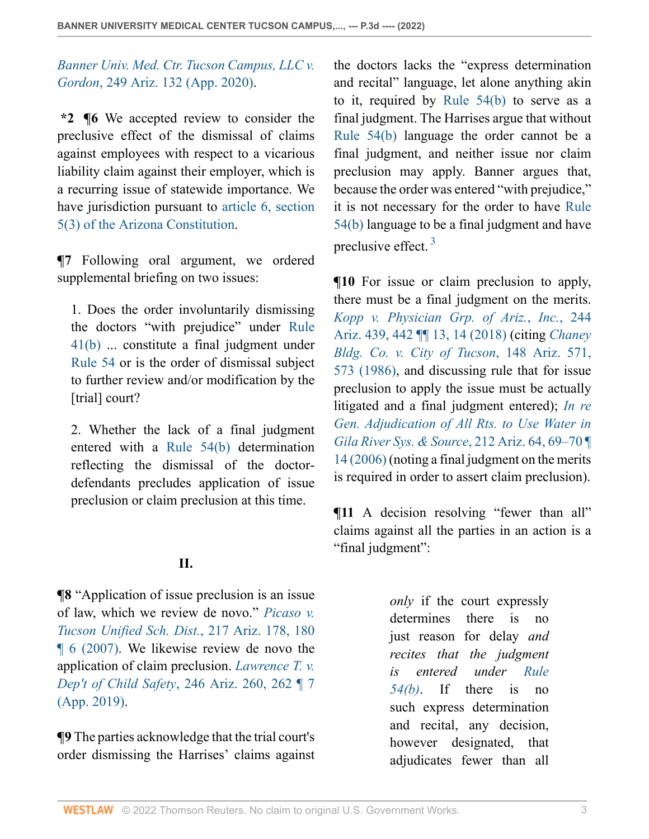*[Banner Univ. Med. Ctr. Tucson Campus, LLC v.](http://www.westlaw.com/Link/Document/FullText?findType=Y&serNum=2051153658&pubNum=0000156&originatingDoc=Id2d129507a2e11ec8482c694aa3b3022&refType=RP&originationContext=document&vr=3.0&rs=cblt1.0&transitionType=DocumentItem&contextData=(sc.Search)) Gordon*[, 249 Ariz. 132 \(App. 2020\)](http://www.westlaw.com/Link/Document/FullText?findType=Y&serNum=2051153658&pubNum=0000156&originatingDoc=Id2d129507a2e11ec8482c694aa3b3022&refType=RP&originationContext=document&vr=3.0&rs=cblt1.0&transitionType=DocumentItem&contextData=(sc.Search)).

**\*2 ¶6** We accepted review to consider the preclusive effect of the dismissal of claims against employees with respect to a vicarious liability claim against their employer, which is a recurring issue of statewide importance. We have jurisdiction pursuant to [article 6, section](http://www.westlaw.com/Link/Document/FullText?findType=L&pubNum=1000447&cite=AZCNART6S5&originatingDoc=Id2d129507a2e11ec8482c694aa3b3022&refType=LQ&originationContext=document&vr=3.0&rs=cblt1.0&transitionType=DocumentItem&contextData=(sc.Search)) [5\(3\) of the Arizona Constitution](http://www.westlaw.com/Link/Document/FullText?findType=L&pubNum=1000447&cite=AZCNART6S5&originatingDoc=Id2d129507a2e11ec8482c694aa3b3022&refType=LQ&originationContext=document&vr=3.0&rs=cblt1.0&transitionType=DocumentItem&contextData=(sc.Search)).

**¶7** Following oral argument, we ordered supplemental briefing on two issues:

1. Does the order involuntarily dismissing the doctors "with prejudice" under [Rule](http://www.westlaw.com/Link/Document/FullText?findType=L&pubNum=1003572&cite=AZSTRCPR41&originatingDoc=Id2d129507a2e11ec8482c694aa3b3022&refType=LQ&originationContext=document&vr=3.0&rs=cblt1.0&transitionType=DocumentItem&contextData=(sc.Search)) [41\(b\)](http://www.westlaw.com/Link/Document/FullText?findType=L&pubNum=1003572&cite=AZSTRCPR41&originatingDoc=Id2d129507a2e11ec8482c694aa3b3022&refType=LQ&originationContext=document&vr=3.0&rs=cblt1.0&transitionType=DocumentItem&contextData=(sc.Search)) ... constitute a final judgment under [Rule 54](http://www.westlaw.com/Link/Document/FullText?findType=L&pubNum=1003572&cite=AZSTRCPR54&originatingDoc=Id2d129507a2e11ec8482c694aa3b3022&refType=LQ&originationContext=document&vr=3.0&rs=cblt1.0&transitionType=DocumentItem&contextData=(sc.Search)) or is the order of dismissal subject to further review and/or modification by the [trial] court?

2. Whether the lack of a final judgment entered with a [Rule 54\(b\)](http://www.westlaw.com/Link/Document/FullText?findType=L&pubNum=1003572&cite=AZSTRCPR54&originatingDoc=Id2d129507a2e11ec8482c694aa3b3022&refType=LQ&originationContext=document&vr=3.0&rs=cblt1.0&transitionType=DocumentItem&contextData=(sc.Search)) determination reflecting the dismissal of the doctordefendants precludes application of issue preclusion or claim preclusion at this time.

# **II.**

**¶8** "Application of issue preclusion is an issue of law, which we review de novo." *[Picaso v.](http://www.westlaw.com/Link/Document/FullText?findType=Y&serNum=2014244334&pubNum=0000156&originatingDoc=Id2d129507a2e11ec8482c694aa3b3022&refType=RP&fi=co_pp_sp_156_180&originationContext=document&vr=3.0&rs=cblt1.0&transitionType=DocumentItem&contextData=(sc.Search)#co_pp_sp_156_180) [Tucson Unified Sch. Dist.](http://www.westlaw.com/Link/Document/FullText?findType=Y&serNum=2014244334&pubNum=0000156&originatingDoc=Id2d129507a2e11ec8482c694aa3b3022&refType=RP&fi=co_pp_sp_156_180&originationContext=document&vr=3.0&rs=cblt1.0&transitionType=DocumentItem&contextData=(sc.Search)#co_pp_sp_156_180)*, 217 Ariz. 178, 180 [¶ 6 \(2007\).](http://www.westlaw.com/Link/Document/FullText?findType=Y&serNum=2014244334&pubNum=0000156&originatingDoc=Id2d129507a2e11ec8482c694aa3b3022&refType=RP&fi=co_pp_sp_156_180&originationContext=document&vr=3.0&rs=cblt1.0&transitionType=DocumentItem&contextData=(sc.Search)#co_pp_sp_156_180) We likewise review de novo the application of claim preclusion. *[Lawrence T. v.](http://www.westlaw.com/Link/Document/FullText?findType=Y&serNum=2047661882&pubNum=0000156&originatingDoc=Id2d129507a2e11ec8482c694aa3b3022&refType=RP&fi=co_pp_sp_156_262&originationContext=document&vr=3.0&rs=cblt1.0&transitionType=DocumentItem&contextData=(sc.Search)#co_pp_sp_156_262) Dep't of Child Safety*[, 246 Ariz. 260, 262 ¶ 7](http://www.westlaw.com/Link/Document/FullText?findType=Y&serNum=2047661882&pubNum=0000156&originatingDoc=Id2d129507a2e11ec8482c694aa3b3022&refType=RP&fi=co_pp_sp_156_262&originationContext=document&vr=3.0&rs=cblt1.0&transitionType=DocumentItem&contextData=(sc.Search)#co_pp_sp_156_262) [\(App. 2019\).](http://www.westlaw.com/Link/Document/FullText?findType=Y&serNum=2047661882&pubNum=0000156&originatingDoc=Id2d129507a2e11ec8482c694aa3b3022&refType=RP&fi=co_pp_sp_156_262&originationContext=document&vr=3.0&rs=cblt1.0&transitionType=DocumentItem&contextData=(sc.Search)#co_pp_sp_156_262)

**¶9** The parties acknowledge that the trial court's order dismissing the Harrises' claims against

the doctors lacks the "express determination and recital" language, let alone anything akin to it, required by [Rule 54\(b\)](http://www.westlaw.com/Link/Document/FullText?findType=L&pubNum=1003572&cite=AZSTRCPR54&originatingDoc=Id2d129507a2e11ec8482c694aa3b3022&refType=LQ&originationContext=document&vr=3.0&rs=cblt1.0&transitionType=DocumentItem&contextData=(sc.Search)) to serve as a final judgment. The Harrises argue that without [Rule 54\(b\)](http://www.westlaw.com/Link/Document/FullText?findType=L&pubNum=1003572&cite=AZSTRCPR54&originatingDoc=Id2d129507a2e11ec8482c694aa3b3022&refType=LQ&originationContext=document&vr=3.0&rs=cblt1.0&transitionType=DocumentItem&contextData=(sc.Search)) language the order cannot be a final judgment, and neither issue nor claim preclusion may apply. Banner argues that, because the order was entered "with prejudice," it is not necessary for the order to have [Rule](http://www.westlaw.com/Link/Document/FullText?findType=L&pubNum=1003572&cite=AZSTRCPR54&originatingDoc=Id2d129507a2e11ec8482c694aa3b3022&refType=LQ&originationContext=document&vr=3.0&rs=cblt1.0&transitionType=DocumentItem&contextData=(sc.Search)) [54\(b\)](http://www.westlaw.com/Link/Document/FullText?findType=L&pubNum=1003572&cite=AZSTRCPR54&originatingDoc=Id2d129507a2e11ec8482c694aa3b3022&refType=LQ&originationContext=document&vr=3.0&rs=cblt1.0&transitionType=DocumentItem&contextData=(sc.Search)) language to be a final judgment and have preclusive effect. [3](#page-4-1)

<span id="page-2-0"></span>**¶10** For issue or claim preclusion to apply, there must be a final judgment on the merits. *[Kopp v. Physician Grp. of Ariz.](http://www.westlaw.com/Link/Document/FullText?findType=Y&serNum=2044939386&pubNum=0000156&originatingDoc=Id2d129507a2e11ec8482c694aa3b3022&refType=RP&fi=co_pp_sp_156_442&originationContext=document&vr=3.0&rs=cblt1.0&transitionType=DocumentItem&contextData=(sc.Search)#co_pp_sp_156_442)*, *Inc.*, 244 [Ariz. 439, 442 ¶¶ 13, 14 \(2018\)](http://www.westlaw.com/Link/Document/FullText?findType=Y&serNum=2044939386&pubNum=0000156&originatingDoc=Id2d129507a2e11ec8482c694aa3b3022&refType=RP&fi=co_pp_sp_156_442&originationContext=document&vr=3.0&rs=cblt1.0&transitionType=DocumentItem&contextData=(sc.Search)#co_pp_sp_156_442) (citing *[Chaney](http://www.westlaw.com/Link/Document/FullText?findType=Y&serNum=1986112267&pubNum=0000156&originatingDoc=Id2d129507a2e11ec8482c694aa3b3022&refType=RP&fi=co_pp_sp_156_573&originationContext=document&vr=3.0&rs=cblt1.0&transitionType=DocumentItem&contextData=(sc.Search)#co_pp_sp_156_573) [Bldg. Co. v. City of Tucson](http://www.westlaw.com/Link/Document/FullText?findType=Y&serNum=1986112267&pubNum=0000156&originatingDoc=Id2d129507a2e11ec8482c694aa3b3022&refType=RP&fi=co_pp_sp_156_573&originationContext=document&vr=3.0&rs=cblt1.0&transitionType=DocumentItem&contextData=(sc.Search)#co_pp_sp_156_573)*, 148 Ariz. 571, [573 \(1986\),](http://www.westlaw.com/Link/Document/FullText?findType=Y&serNum=1986112267&pubNum=0000156&originatingDoc=Id2d129507a2e11ec8482c694aa3b3022&refType=RP&fi=co_pp_sp_156_573&originationContext=document&vr=3.0&rs=cblt1.0&transitionType=DocumentItem&contextData=(sc.Search)#co_pp_sp_156_573) and discussing rule that for issue preclusion to apply the issue must be actually litigated and a final judgment entered); *[In re](http://www.westlaw.com/Link/Document/FullText?findType=Y&serNum=2008380988&pubNum=0000156&originatingDoc=Id2d129507a2e11ec8482c694aa3b3022&refType=RP&fi=co_pp_sp_156_69&originationContext=document&vr=3.0&rs=cblt1.0&transitionType=DocumentItem&contextData=(sc.Search)#co_pp_sp_156_69) [Gen. Adjudication of All Rts. to Use Water in](http://www.westlaw.com/Link/Document/FullText?findType=Y&serNum=2008380988&pubNum=0000156&originatingDoc=Id2d129507a2e11ec8482c694aa3b3022&refType=RP&fi=co_pp_sp_156_69&originationContext=document&vr=3.0&rs=cblt1.0&transitionType=DocumentItem&contextData=(sc.Search)#co_pp_sp_156_69) [Gila River Sys. & Source](http://www.westlaw.com/Link/Document/FullText?findType=Y&serNum=2008380988&pubNum=0000156&originatingDoc=Id2d129507a2e11ec8482c694aa3b3022&refType=RP&fi=co_pp_sp_156_69&originationContext=document&vr=3.0&rs=cblt1.0&transitionType=DocumentItem&contextData=(sc.Search)#co_pp_sp_156_69)*, 212 Ariz. 64, 69–70 ¶ [14 \(2006\)](http://www.westlaw.com/Link/Document/FullText?findType=Y&serNum=2008380988&pubNum=0000156&originatingDoc=Id2d129507a2e11ec8482c694aa3b3022&refType=RP&fi=co_pp_sp_156_69&originationContext=document&vr=3.0&rs=cblt1.0&transitionType=DocumentItem&contextData=(sc.Search)#co_pp_sp_156_69) (noting a final judgment on the merits is required in order to assert claim preclusion).

 $\P$ **11** A decision resolving "fewer than all" claims against all the parties in an action is a "final judgment":

> *only* if the court expressly determines there is no just reason for delay *and recites that the judgment is entered under [Rule](http://www.westlaw.com/Link/Document/FullText?findType=L&pubNum=1003572&cite=AZSTRCPR54&originatingDoc=Id2d129507a2e11ec8482c694aa3b3022&refType=LQ&originationContext=document&vr=3.0&rs=cblt1.0&transitionType=DocumentItem&contextData=(sc.Search)) [54\(b\)](http://www.westlaw.com/Link/Document/FullText?findType=L&pubNum=1003572&cite=AZSTRCPR54&originatingDoc=Id2d129507a2e11ec8482c694aa3b3022&refType=LQ&originationContext=document&vr=3.0&rs=cblt1.0&transitionType=DocumentItem&contextData=(sc.Search))*. If there is no such express determination and recital, any decision, however designated, that adjudicates fewer than all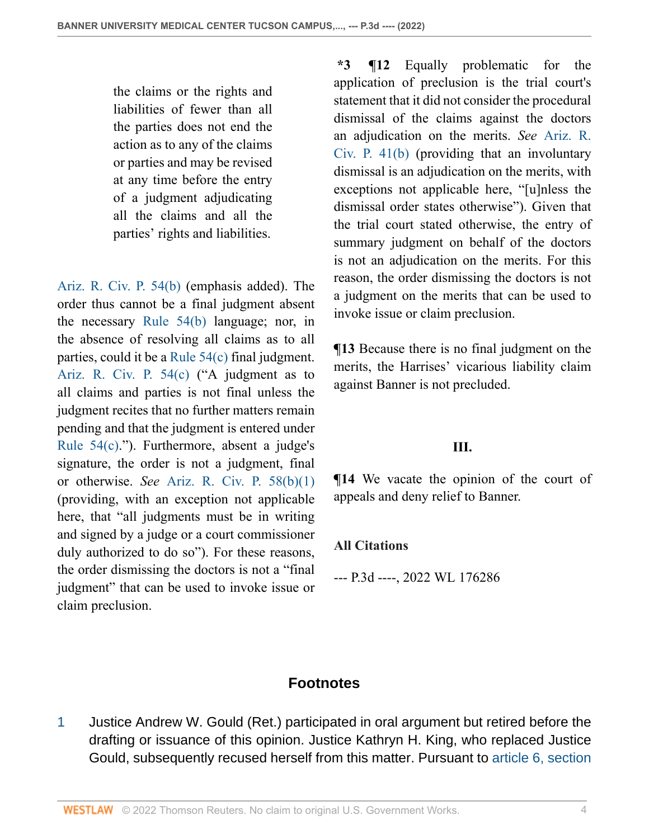the claims or the rights and liabilities of fewer than all the parties does not end the action as to any of the claims or parties and may be revised at any time before the entry of a judgment adjudicating all the claims and all the parties' rights and liabilities.

[Ariz. R. Civ. P. 54\(b\)](http://www.westlaw.com/Link/Document/FullText?findType=L&pubNum=1003572&cite=AZSTRCPR54&originatingDoc=Id2d129507a2e11ec8482c694aa3b3022&refType=LQ&originationContext=document&vr=3.0&rs=cblt1.0&transitionType=DocumentItem&contextData=(sc.Search)) (emphasis added). The order thus cannot be a final judgment absent the necessary [Rule 54\(b\)](http://www.westlaw.com/Link/Document/FullText?findType=L&pubNum=1003572&cite=AZSTRCPR54&originatingDoc=Id2d129507a2e11ec8482c694aa3b3022&refType=LQ&originationContext=document&vr=3.0&rs=cblt1.0&transitionType=DocumentItem&contextData=(sc.Search)) language; nor, in the absence of resolving all claims as to all parties, could it be a [Rule 54\(c\)](http://www.westlaw.com/Link/Document/FullText?findType=L&pubNum=1003572&cite=AZSTRCPR54&originatingDoc=Id2d129507a2e11ec8482c694aa3b3022&refType=LQ&originationContext=document&vr=3.0&rs=cblt1.0&transitionType=DocumentItem&contextData=(sc.Search)) final judgment. [Ariz. R. Civ. P. 54\(c\)](http://www.westlaw.com/Link/Document/FullText?findType=L&pubNum=1003572&cite=AZSTRCPR54&originatingDoc=Id2d129507a2e11ec8482c694aa3b3022&refType=LQ&originationContext=document&vr=3.0&rs=cblt1.0&transitionType=DocumentItem&contextData=(sc.Search)) ("A judgment as to all claims and parties is not final unless the judgment recites that no further matters remain pending and that the judgment is entered under [Rule 54\(c\)](http://www.westlaw.com/Link/Document/FullText?findType=L&pubNum=1003572&cite=AZSTRCPR54&originatingDoc=Id2d129507a2e11ec8482c694aa3b3022&refType=LQ&originationContext=document&vr=3.0&rs=cblt1.0&transitionType=DocumentItem&contextData=(sc.Search))."). Furthermore, absent a judge's signature, the order is not a judgment, final or otherwise. *See* [Ariz. R. Civ. P. 58\(b\)\(1\)](http://www.westlaw.com/Link/Document/FullText?findType=L&pubNum=1003572&cite=AZSTRCPR58&originatingDoc=Id2d129507a2e11ec8482c694aa3b3022&refType=LQ&originationContext=document&vr=3.0&rs=cblt1.0&transitionType=DocumentItem&contextData=(sc.Search)) (providing, with an exception not applicable here, that "all judgments must be in writing and signed by a judge or a court commissioner duly authorized to do so"). For these reasons, the order dismissing the doctors is not a "final judgment" that can be used to invoke issue or claim preclusion.

**\*3 ¶12** Equally problematic for the application of preclusion is the trial court's statement that it did not consider the procedural dismissal of the claims against the doctors an adjudication on the merits. *See* [Ariz. R.](http://www.westlaw.com/Link/Document/FullText?findType=L&pubNum=1003572&cite=AZSTRCPR41&originatingDoc=Id2d129507a2e11ec8482c694aa3b3022&refType=LQ&originationContext=document&vr=3.0&rs=cblt1.0&transitionType=DocumentItem&contextData=(sc.Search)) [Civ. P. 41\(b\)](http://www.westlaw.com/Link/Document/FullText?findType=L&pubNum=1003572&cite=AZSTRCPR41&originatingDoc=Id2d129507a2e11ec8482c694aa3b3022&refType=LQ&originationContext=document&vr=3.0&rs=cblt1.0&transitionType=DocumentItem&contextData=(sc.Search)) (providing that an involuntary dismissal is an adjudication on the merits, with exceptions not applicable here, "[u]nless the dismissal order states otherwise"). Given that the trial court stated otherwise, the entry of summary judgment on behalf of the doctors is not an adjudication on the merits. For this reason, the order dismissing the doctors is not a judgment on the merits that can be used to invoke issue or claim preclusion.

**¶13** Because there is no final judgment on the merits, the Harrises' vicarious liability claim against Banner is not precluded.

#### **III.**

**¶14** We vacate the opinion of the court of appeals and deny relief to Banner.

#### **All Citations**

--- P.3d ----, 2022 WL 176286

### **Footnotes**

<span id="page-3-0"></span>[1](#page-1-0) Justice Andrew W. Gould (Ret.) participated in oral argument but retired before the drafting or issuance of this opinion. Justice Kathryn H. King, who replaced Justice Gould, subsequently recused herself from this matter. Pursuant to [article 6, section](http://www.westlaw.com/Link/Document/FullText?findType=L&pubNum=1000447&cite=AZCNART6S3&originatingDoc=Id2d129507a2e11ec8482c694aa3b3022&refType=LQ&originationContext=document&vr=3.0&rs=cblt1.0&transitionType=DocumentItem&contextData=(sc.Search))